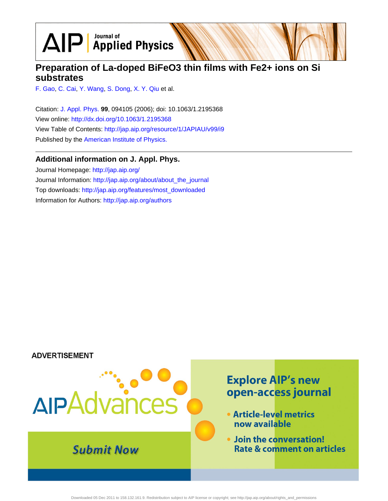$\text{AlP}$  Applied Physics

# **Preparation of La-doped BiFeO3 thin films with Fe2+ ions on Si substrates**

[F. Gao,](http://jap.aip.org/search?sortby=newestdate&q=&searchzone=2&searchtype=searchin&faceted=faceted&key=AIP_ALL&possible1=F. Gao&possible1zone=author&alias=&displayid=AIP&ver=pdfcov) [C. Cai,](http://jap.aip.org/search?sortby=newestdate&q=&searchzone=2&searchtype=searchin&faceted=faceted&key=AIP_ALL&possible1=C. Cai&possible1zone=author&alias=&displayid=AIP&ver=pdfcov) [Y. Wang,](http://jap.aip.org/search?sortby=newestdate&q=&searchzone=2&searchtype=searchin&faceted=faceted&key=AIP_ALL&possible1=Y. Wang&possible1zone=author&alias=&displayid=AIP&ver=pdfcov) [S. Dong,](http://jap.aip.org/search?sortby=newestdate&q=&searchzone=2&searchtype=searchin&faceted=faceted&key=AIP_ALL&possible1=S. Dong&possible1zone=author&alias=&displayid=AIP&ver=pdfcov) [X. Y. Qiu](http://jap.aip.org/search?sortby=newestdate&q=&searchzone=2&searchtype=searchin&faceted=faceted&key=AIP_ALL&possible1=X. Y. Qiu&possible1zone=author&alias=&displayid=AIP&ver=pdfcov) et al.

Citation: [J. Appl. Phys.](http://jap.aip.org/?ver=pdfcov) **99**, 094105 (2006); doi: 10.1063/1.2195368 View online: [http://dx.doi.org/10.1063/1.2195368](http://link.aip.org/link/doi/10.1063/1.2195368?ver=pdfcov) View Table of Contents: [http://jap.aip.org/resource/1/JAPIAU/v99/i9](http://jap.aip.org/resource/1/JAPIAU/v99/i9?ver=pdfcov) Published by the [American Institute of Physics.](http://www.aip.org/?ver=pdfcov)

## **Additional information on J. Appl. Phys.**

Journal Homepage: [http://jap.aip.org/](http://jap.aip.org/?ver=pdfcov) Journal Information: [http://jap.aip.org/about/about\\_the\\_journal](http://jap.aip.org/about/about_the_journal?ver=pdfcov) Top downloads: [http://jap.aip.org/features/most\\_downloaded](http://jap.aip.org/features/most_downloaded?ver=pdfcov) Information for Authors: [http://jap.aip.org/authors](http://jap.aip.org/authors?ver=pdfcov)

### **ADVERTISEMENT**

# **Explore AIP's new** AIPAdvances open-access journal • Article-level metrics now available . Join the conversation! **Submit Now Rate & comment on articles**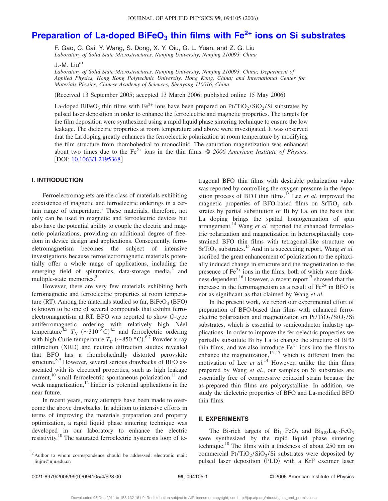# **Preparation of La-doped BiFeO<sub>3</sub> thin films with Fe<sup>2+</sup> ions on Si substrates**

F. Gao, C. Cai, Y. Wang, S. Dong, X. Y. Qiu, G. L. Yuan, and Z. G. Liu *Laboratory of Solid State Microstructures, Nanjing University, Nanjing 210093, China*

J.-M. Liu $^{a)}$ 

*Laboratory of Solid State Microstructures, Nanjing University, Nanjing 210093, China; Department of Applied Physics, Hong Kong Polytechnic University, Hong Kong, China; and International Center for Materials Physics, Chinese Academy of Sciences, Shenyang 110016, China*

(Received 13 September 2005; accepted 13 March 2006; published online 15 May 2006)

La-doped BiFeO<sub>3</sub> thin films with Fe<sup>2+</sup> ions have been prepared on Pt/TiO<sub>2</sub>/SiO<sub>2</sub>/Si substrates by pulsed laser deposition in order to enhance the ferroelectric and magnetic properties. The targets for the film deposition were synthesized using a rapid liquid phase sintering technique to ensure the low leakage. The dielectric properties at room temperature and above were investigated. It was observed that the La doping greatly enhances the ferroelectric polarization at room temperature by modifying the film structure from rhombohedral to monoclinic. The saturation magnetization was enhanced about two times due to the Fe<sup>2+</sup> ions in the thin films. © 2006 American Institute of Physics. [DOI: [10.1063/1.2195368](http://dx.doi.org/10.1063/1.2195368)]

#### **I. INTRODUCTION**

Ferroelectromagnets are the class of materials exhibiting coexistence of magnetic and ferroelectric orderings in a certain range of temperature.<sup>1</sup> These materials, therefore, not only can be used in magnetic and ferroelectric devices but also have the potential ability to couple the electric and magnetic polarizations, providing an additional degree of freedom in device design and applications. Consequently, ferroeletromagnetism becomes the subject of intensive investigations because ferroelectromagnetic materials potentially offer a whole range of applications, including the emerging field of spintronics, data-storage media, $^2$  and multiple-state memories.<sup>3</sup>

However, there are very few materials exhibiting both ferromagnetic and ferroelectric properties at room temperature (RT). Among the materials studied so far,  $BiFeO<sub>3</sub>$  (BFO) is known to be one of several compounds that exhibit ferroelectromagnetism at RT. BFO was reported to show *G*-type antiferromagnetic ordering with relatively high Néel temperature<sup>4,5</sup>  $T_N$  (~310 °C)<sup>4,5</sup> and ferroelectric ordering with high Curie temperature  $T_C$  ( $\sim$ 850 °C).<sup>6,7</sup> Powder x-ray diffraction (XRD) and neutron diffraction studies revealed that BFO has a rhombohedrally distorted perovskite structure.<sup>8,9</sup> However, several serious drawbacks of BFO associated with its electrical properties, such as high leakage current, $^{10}$  small ferroelectric spontaneous polarization, $^{11}$  and weak magnetization, $^{12}$  hinder its potential applications in the near future.

In recent years, many attempts have been made to overcome the above drawbacks. In addition to intensive efforts in terms of improving the materials preparation and property optimization, a rapid liquid phase sintering technique was developed in our laboratory to enhance the electric resistivity.<sup>10</sup> The saturated ferroelectric hysteresis loop of tetragonal BFO thin films with desirable polarization value was reported by controlling the oxygen pressure in the deposition process of BFO thin films.<sup>13</sup> Lee *et al.* improved the magnetic properties of BFO-based films on  $SrTiO<sub>3</sub>$  substrates by partial substitution of Bi by La, on the basis that La doping brings the spatial homogenization of spin arrangement.<sup>14</sup> Wang *et al.* reported the enhanced ferroelectric polarization and magnetization in heteroepitaxially constrained BFO thin films with tetragonal-like structure on  $SrTiO<sub>3</sub>$  substrates.<sup>15</sup> And in a succeeding report, Wang *et al.* ascribed the great enhancement of polarization to the epitaxially induced change in structure and the magnetization to the presence of  $Fe^{2+}$  ions in the films, both of which were thickness dependent.<sup>16</sup> However, a recent report<sup>17</sup> showed that the increase in the ferromagnetism as a result of  $Fe<sup>2+</sup>$  in BFO is not as significant as that claimed by Wang *et al.*

In the present work, we report our experimental effort of preparation of BFO-based thin films with enhanced ferroelectric polarization and magnetization on  $Pt/TiO<sub>2</sub>/SiO<sub>2</sub>/Si$ substrates, which is essential to semiconductor industry applications. In order to improve the ferroelectric properties we partially substitute Bi by La to change the structure of BFO thin films, and we also introduce  $Fe<sup>2+</sup>$  ions into the films to enhance the magnetization,<sup>15–17</sup> which is different from the motivation of Lee  $et \ al.<sup>14</sup>$  However, unlike the thin films prepared by Wang *et al.*, our samples on Si substrates are essentially free of compressive epitaxial strain because the as-prepared thin films are polycrystalline. In addition, we study the dielectric properties of BFO and La-modified BFO thin films.

#### **II. EXPERIMENTS**

The Bi-rich targets of  $Bi_{1,1}FeO_3$  and  $Bi_{0.88}La_{0,2}FeO_3$ were synthesized by the rapid liquid phase sintering technique.<sup>10</sup> The films with a thickness of about 250 nm on commercial Pt/TiO<sub>2</sub>/SiO<sub>2</sub>/Si substrates were deposited by pulsed laser deposition (PLD) with a KrF excimer laser

a)Author to whom correspondence should be addressed; electronic mail: liujm@nju.edu.cn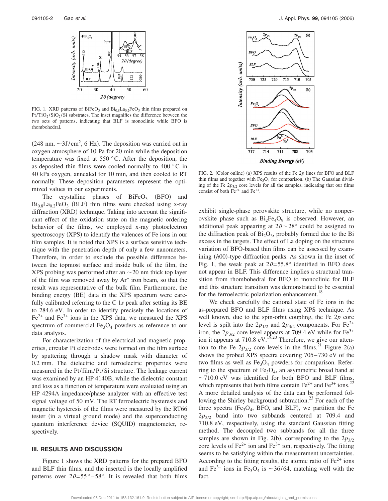

FIG. 1. XRD patterns of BiFeO<sub>3</sub> and  $Bi_{0.8}La_{0.2}FeO_3$  thin films prepared on  $Pt/TiO_2/SiO_2/Si$  substrates. The inset magnifies the difference between the two sets of patterns, indicating that BLF is monoclinic while BFO is rhombohedral.

 $(248 \text{ nm}, \sim 3 \text{ J/cm}^2, 6 \text{ Hz})$ . The deposition was carried out in oxygen atmosphere of 10 Pa for 20 min while the deposition temperature was fixed at 550 °C. After the deposition, the as-deposited thin films were cooled normally to 400 °C in 40 kPa oxygen, annealed for 10 min, and then cooled to RT normally. These deposition parameters represent the optimized values in our experiments.

The crystalline phases of  $BiFeO<sub>3</sub>$  (BFO) and  $Bi_{0.8}La_{0.2}FeO<sub>3</sub>$  (BLF) thin films were checked using x-ray diffraction (XRD) technique. Taking into account the significant effect of the oxidation state on the magnetic ordering behavior of the films, we employed x-ray photoelectron spectroscopy (XPS) to identify the valences of Fe ions in our film samples. It is noted that XPS is a surface sensitive technique with the penetration depth of only a few nanometers. Therefore, in order to exclude the possible difference between the topmost surface and inside bulk of the film, the XPS probing was performed after an  $\sim$  20 nm thick top layer of the film was removed away by  $Ar^+$  iron beam, so that the result was representative of the bulk film. Furthermore, the binding energy (BE) data in the XPS spectrum were carefully calibrated referring to the C 1*s* peak after setting its BE to 284.6 eV. In order to identify precisely the locations of  $Fe<sup>2+</sup>$  and  $Fe<sup>3+</sup>$  ions in the XPS data, we measured the XPS spectrum of commercial  $Fe<sub>3</sub>O<sub>4</sub>$  powders as reference to our data analysis.

For characterization of the electrical and magnetic properties, circular Pt electrodes were formed on the film surface by sputtering through a shadow mask with diameter of 0.2 mm. The dielectric and ferroelectric properties were measured in the Pt/ film/Pt/Si structure. The leakage current was examined by an HP 4140B, while the dielectric constant and loss as a function of temperature were evaluated using an HP 4294A impedance/phase analyzer with an effective test signal voltage of 50 mV. The RT ferroelectric hysteresis and magnetic hysteresis of the films were measured by the RT66 tester (in a virtual ground mode) and the superconducting quantum interference device (SQUID) magnetometer, respectively.

#### **III. RESULTS AND DISCUSSION**

Figure 1 shows the XRD patterns for the prepared BFO and BLF thin films, and the inserted is the locally amplified patterns over  $2\theta = 55^{\circ} - 58^{\circ}$ . It is revealed that both films



FIG. 2. (Color online) (a) XPS results of the Fe 2p lines for BFO and BLF thin films and together with  $Fe<sub>3</sub>O<sub>4</sub>$  for comparison. (b) The Gaussian dividing of the Fe  $2p_{3/2}$  core levels for all the samples, indicating that our films consist of both  $Fe^{2+}$  and  $Fe^{3+}$ .

exhibit single-phase perovskite structure, while no nonperovskite phase such as  $Bi_2Fe_4O_9$  is observed. However, an additional peak appearing at  $2\theta \sim 28^\circ$  could be assigned to the diffraction peak of  $Bi<sub>2</sub>O<sub>3</sub>$ , probably formed due to the Bi excess in the targets. The effect of La doping on the structure variation of BFO-based thin films can be assessed by examining (h00)-type diffraction peaks. As shown in the inset of Fig. 1, the weak peak at  $2\theta = 55.8^\circ$  identified in BFO does not appear in BLF. This difference implies a structural transition from rhombohedral for BFO to monoclinic for BLF and this structure transition was demonstrated to be essential for the ferroelectric polarization enhancement.<sup>18</sup>

We check carefully the cational state of Fe ions in the as-prepared BFO and BLF films using XPS technique. As well known, due to the spin-orbit coupling, the Fe 2*p* core level is spilt into the  $2p_{1/2}$  and  $2p_{3/2}$  components. For Fe<sup>2+</sup> iron, the  $2p_{3/2}$  core level appears at 709.4 eV while for Fe<sup>3+</sup> ion it appears at 710.8 eV.<sup>19,20</sup> Therefore, we give our attention to the Fe  $2p_{3/2}$  core levels in the films.<sup>21</sup> Figure 2(a) shows the probed XPS spectra covering 705– 730 eV of the two films as well as  $Fe<sub>3</sub>O<sub>4</sub>$  powders for comparison. Referring to the spectrum of  $Fe<sub>3</sub>O<sub>4</sub>$ , an asymmetric broad band at  $\sim$ 710.0 eV was identified for both BFO and BLF films, which represents that both films contain  $Fe^{2+}$  and  $Fe^{3+}$  ions.<sup>22</sup> A more detailed analysis of the data can be performed following the Shirley background subtraction.<sup>23</sup> For each of the three spectra ( $Fe<sub>3</sub>O<sub>4</sub>$ , BFO, and BLF), we partition the Fe  $2p_{3/2}$  band into two subbands centered at 709.4 and 710.8 eV, respectively, using the standard Gaussian fitting method. The decoupled two subbands for all the three samples are shown in Fig. 2(b), corresponding to the  $2p_{3/2}$ core levels of  $Fe^{2+}$  ion and  $Fe^{3+}$  ion, respectively. The fitting seems to be satisfying within the measurement uncertainties. According to the fitting results, the atomic ratio of  $Fe<sup>2+</sup>$  ions and Fe<sup>3+</sup> ions in Fe<sub>3</sub>O<sub>4</sub> is ~36/64, matching well with the fact.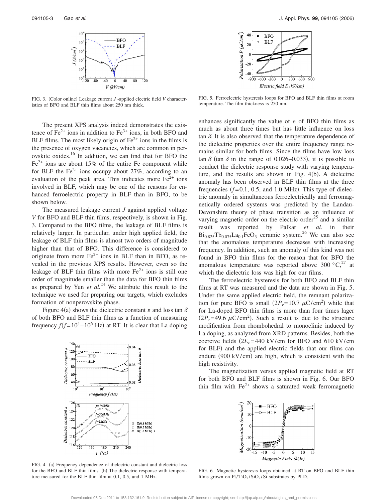

FIG. 3. (Color online) Leakage current *J* -applied electric field *V* characteristics of BFO and BLF thin films about 250 nm thick.

The present XPS analysis indeed demonstrates the existence of  $Fe^{2+}$  ions in addition to  $Fe^{3+}$  ions, in both BFO and BLF films. The most likely origin of  $Fe<sup>2+</sup>$  ions in the films is the presence of oxygen vacancies, which are common in perovskite oxides.<sup>16</sup> In addition, we can find that for BFO the  $Fe<sup>2+</sup>$  ions are about 15% of the entire Fe component while for BLF the Fe<sup>2+</sup> ions occupy about 27%, according to an evaluation of the peak area. This indicates more  $Fe<sup>2+</sup>$  ions involved in BLF, which may be one of the reasons for enhanced ferroelectric property in BLF than in BFO, to be shown below.

The measured leakage current *J* against applied voltage *V* for BFO and BLF thin films, respectively, is shown in Fig. 3. Compared to the BFO films, the leakage of BLF films is relatively larger. In particular, under high applied field, the leakage of BLF thin films is almost two orders of magnitude higher than that of BFO. This difference is considered to originate from more  $Fe^{2+}$  ions in BLF than in BFO, as revealed in the previous XPS results. However, even so the leakage of BLF thin films with more  $Fe<sup>2+</sup>$  ions is still one order of magnitude smaller than the data for BFO thin films as prepared by Yun *et al.*<sup>24</sup> We attribute this result to the technique we used for preparing our targets, which excludes formation of nonperovskite phase.

Figure 4(a) shows the dielectric constant  $\varepsilon$  and loss tan  $\delta$ of both BFO and BLF thin films as a function of measuring frequency  $f(f=10^4 - 10^6 \text{ Hz})$  at RT. It is clear that La doping



FIG. 4. (a) Frequency dependence of dielectric constant and dielectric loss for the BFO and BLF thin films. (b) The dielectric response with temperature measured for the BLF thin film at 0.1, 0.5, and 1 MHz.



FIG. 5. Ferroelectric hysteresis loops for BFO and BLF thin films at room temperature. The film thickness is 250 nm.

enhances significantly the value of  $\varepsilon$  of BFO thin films as much as about three times but has little influence on loss tan  $\delta$ . It is also observed that the temperature dependence of the dielectric properties over the entire frequency range remains similar for both films. Since the films have low loss tan  $\delta$  (tan  $\delta$  in the range of 0.026–0.033), it is possible to conduct the dielectric response study with varying temperature, and the results are shown in Fig. 4(b). A dielectric anomaly has been observed in BLF thin films at the three frequencies  $(f=0.1, 0.5,$  and 1.0 MHz). This type of dielectric anomaly in simultaneous ferroelectrically and ferromagnetically ordered systems was predicted by the Landau-Devonshire theory of phase transition as an influence of varying magnetic order on the electric order<sup>25</sup> and a similar result was reported by Palkar *et al.* in their  $Bi_{0.825}Tb_{0.075}La_{0.1}FeO_3$  ceramic system.<sup>26</sup> We can also see that the anomalous temperature decreases with increasing frequency. In addition, such an anomaly of this kind was not found in BFO thin films for the reason that for BFO the anomalous temperature was reported above 300  $^{\circ}C^{27}$ , at which the dielectric loss was high for our films.

The ferroelectric hysteresis for both BFO and BLF thin films at RT was measured and the data are shown in Fig. 5. Under the same applied electric field, the remnant polarization for pure BFO is small  $(2P_r = 10.7 \mu C/cm^2)$  while that for La-doped BFO thin films is more than four times lager  $(2P_r=49.6 \ \mu C/cm^2)$ . Such a result is due to the structure modification from rhombohedral to monoclinic induced by La doping, as analyzed from XRD patterns. Besides, both the coercive fields  $(2E<sub>c</sub>=440 \text{ kV/cm}$  for BFO and 610 kV/cm for BLF) and the applied electric fields that our films can endure (900 kV/cm) are high, which is consistent with the high resistivity.

The magnetization versus applied magnetic field at RT for both BFO and BLF films is shown in Fig. 6. Our BFO thin film with  $Fe<sup>2+</sup>$  shows a saturated weak ferromagnetic



FIG. 6. Magnetic hysteresis loops obtained at RT on BFO and BLF thin films grown on  $Pt/TiO_2/SiO_2/Si$  substrates by PLD.